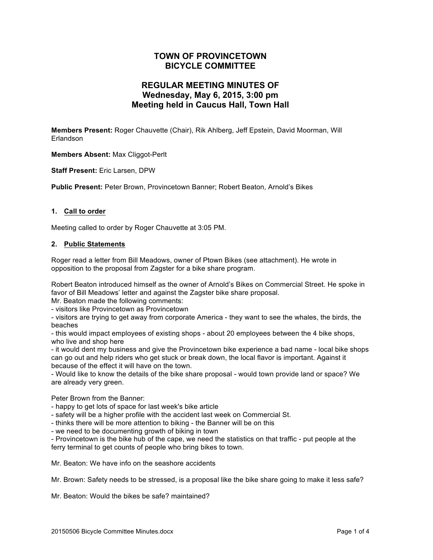## **TOWN OF PROVINCETOWN BICYCLE COMMITTEE**

## **REGULAR MEETING MINUTES OF Wednesday, May 6, 2015, 3:00 pm Meeting held in Caucus Hall, Town Hall**

**Members Present:** Roger Chauvette (Chair), Rik Ahlberg, Jeff Epstein, David Moorman, Will Erlandson

**Members Absent:** Max Cliggot-Perlt

**Staff Present:** Eric Larsen, DPW

**Public Present:** Peter Brown, Provincetown Banner; Robert Beaton, Arnold's Bikes

#### **1. Call to order**

Meeting called to order by Roger Chauvette at 3:05 PM.

#### **2. Public Statements**

Roger read a letter from Bill Meadows, owner of Ptown Bikes (see attachment). He wrote in opposition to the proposal from Zagster for a bike share program.

Robert Beaton introduced himself as the owner of Arnold's Bikes on Commercial Street. He spoke in favor of Bill Meadows' letter and against the Zagster bike share proposal.

Mr. Beaton made the following comments:

- visitors like Provincetown as Provincetown

- visitors are trying to get away from corporate America - they want to see the whales, the birds, the beaches

- this would impact employees of existing shops - about 20 employees between the 4 bike shops, who live and shop here

- it would dent my business and give the Provincetown bike experience a bad name - local bike shops can go out and help riders who get stuck or break down, the local flavor is important. Against it because of the effect it will have on the town.

- Would like to know the details of the bike share proposal - would town provide land or space? We are already very green.

Peter Brown from the Banner:

- happy to get lots of space for last week's bike article

- safety will be a higher profile with the accident last week on Commercial St.

- thinks there will be more attention to biking - the Banner will be on this

- we need to be documenting growth of biking in town

- Provincetown is the bike hub of the cape, we need the statistics on that traffic - put people at the ferry terminal to get counts of people who bring bikes to town.

Mr. Beaton: We have info on the seashore accidents

Mr. Brown: Safety needs to be stressed, is a proposal like the bike share going to make it less safe?

Mr. Beaton: Would the bikes be safe? maintained?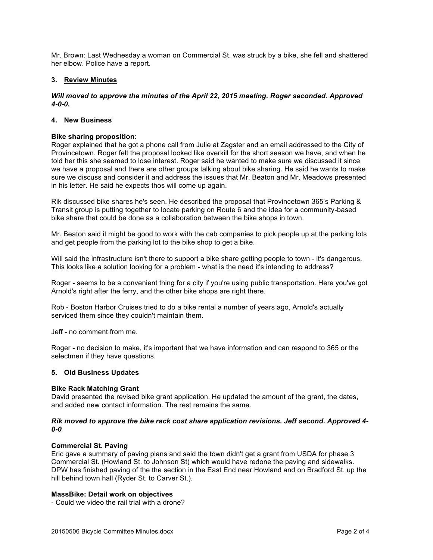Mr. Brown: Last Wednesday a woman on Commercial St. was struck by a bike, she fell and shattered her elbow. Police have a report.

#### **3. Review Minutes**

### *Will moved to approve the minutes of the April 22, 2015 meeting. Roger seconded. Approved 4-0-0.*

#### **4. New Business**

#### **Bike sharing proposition:**

Roger explained that he got a phone call from Julie at Zagster and an email addressed to the City of Provincetown. Roger felt the proposal looked like overkill for the short season we have, and when he told her this she seemed to lose interest. Roger said he wanted to make sure we discussed it since we have a proposal and there are other groups talking about bike sharing. He said he wants to make sure we discuss and consider it and address the issues that Mr. Beaton and Mr. Meadows presented in his letter. He said he expects thos will come up again.

Rik discussed bike shares he's seen. He described the proposal that Provincetown 365's Parking & Transit group is putting together to locate parking on Route 6 and the idea for a community-based bike share that could be done as a collaboration between the bike shops in town.

Mr. Beaton said it might be good to work with the cab companies to pick people up at the parking lots and get people from the parking lot to the bike shop to get a bike.

Will said the infrastructure isn't there to support a bike share getting people to town - it's dangerous. This looks like a solution looking for a problem - what is the need it's intending to address?

Roger - seems to be a convenient thing for a city if you're using public transportation. Here you've got Arnold's right after the ferry, and the other bike shops are right there.

Rob - Boston Harbor Cruises tried to do a bike rental a number of years ago, Arnold's actually serviced them since they couldn't maintain them.

Jeff - no comment from me.

Roger - no decision to make, it's important that we have information and can respond to 365 or the selectmen if they have questions.

#### **5. Old Business Updates**

#### **Bike Rack Matching Grant**

David presented the revised bike grant application. He updated the amount of the grant, the dates, and added new contact information. The rest remains the same.

#### *Rik moved to approve the bike rack cost share application revisions. Jeff second. Approved 4- 0-0*

#### **Commercial St. Paving**

Eric gave a summary of paving plans and said the town didn't get a grant from USDA for phase 3 Commercial St. (Howland St. to Johnson St) which would have redone the paving and sidewalks. DPW has finished paving of the the section in the East End near Howland and on Bradford St. up the hill behind town hall (Ryder St. to Carver St.).

#### **MassBike: Detail work on objectives**

- Could we video the rail trial with a drone?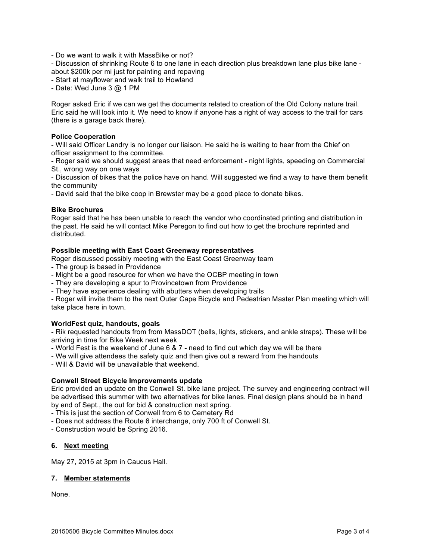- Do we want to walk it with MassBike or not?

- Discussion of shrinking Route 6 to one lane in each direction plus breakdown lane plus bike lane about \$200k per mi just for painting and repaving

- Start at mayflower and walk trail to Howland

- Date: Wed June 3 @ 1 PM

Roger asked Eric if we can we get the documents related to creation of the Old Colony nature trail. Eric said he will look into it. We need to know if anyone has a right of way access to the trail for cars (there is a garage back there).

#### **Police Cooperation**

- Will said Officer Landry is no longer our liaison. He said he is waiting to hear from the Chief on officer assignment to the committee.

- Roger said we should suggest areas that need enforcement - night lights, speeding on Commercial St., wrong way on one ways

- Discussion of bikes that the police have on hand. Will suggested we find a way to have them benefit the community

- David said that the bike coop in Brewster may be a good place to donate bikes.

#### **Bike Brochures**

Roger said that he has been unable to reach the vendor who coordinated printing and distribution in the past. He said he will contact Mike Peregon to find out how to get the brochure reprinted and distributed.

#### **Possible meeting with East Coast Greenway representatives**

Roger discussed possibly meeting with the East Coast Greenway team

- The group is based in Providence
- Might be a good resource for when we have the OCBP meeting in town
- They are developing a spur to Provincetown from Providence
- They have experience dealing with abutters when developing trails

- Roger will invite them to the next Outer Cape Bicycle and Pedestrian Master Plan meeting which will take place here in town.

### **WorldFest quiz, handouts, goals**

- Rik requested handouts from from MassDOT (bells, lights, stickers, and ankle straps). These will be arriving in time for Bike Week next week

- World Fest is the weekend of June 6 & 7 need to find out which day we will be there
- We will give attendees the safety quiz and then give out a reward from the handouts

- Will & David will be unavailable that weekend.

### **Conwell Street Bicycle Improvements update**

Eric provided an update on the Conwell St. bike lane project. The survey and engineering contract will be advertised this summer with two alternatives for bike lanes. Final design plans should be in hand by end of Sept., the out for bid & construction next spring.

- This is just the section of Conwell from 6 to Cemetery Rd

- Does not address the Route 6 interchange, only 700 ft of Conwell St.
- Construction would be Spring 2016.

### **6. Next meeting**

May 27, 2015 at 3pm in Caucus Hall.

#### **7. Member statements**

None.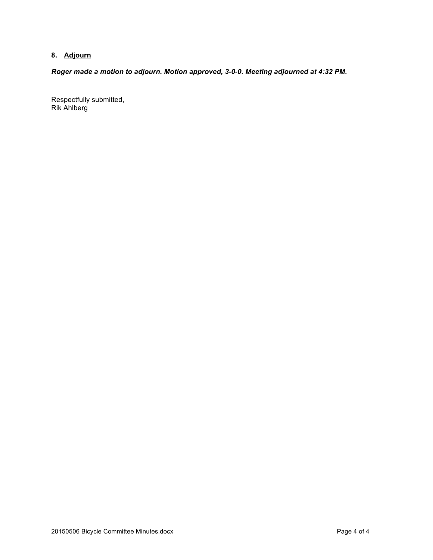# **8. Adjourn**

*Roger made a motion to adjourn. Motion approved, 3-0-0. Meeting adjourned at 4:32 PM.*

Respectfully submitted, Rik Ahlberg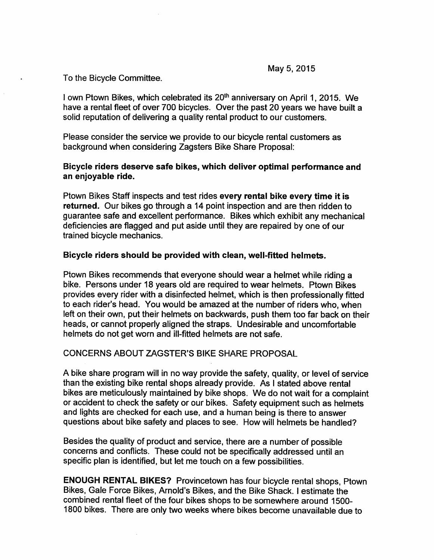To the Bicycle Committee.

I own Ptown Bikes, which celebrated its 20<sup>th</sup> anniversary on April 1, 2015. We have a rental fleet of over 700 bicycles. Over the past 20 years we have built a solid reputation of delivering a quality rental product to our customers.

Please consider the service we provide to our bicycle rental customers as background when considering Zagsters Bike Share Proposal:

## Bicycle riders deserve safe bikes, which deliver optimal performance and an enjoyable ride.

Ptown Bikes Staff inspects and test rides every rental bike every time it is returned. Our bikes go through a 14 point inspection and are then ridden to guarantee safe and excellent performance. Bikes which exhibit any mechanical deficiencies are flagged and put aside until they are repaired by one of our trained bicycle mechanics.

## Bicycle riders should be provided with clean, well-fitted helmets.

Ptown Bikes recommends that everyone should wear a helmet while riding a bike. Persons under 18 years old are required to wear helmets. Ptown Bikes provides every rider with a disinfected helmet, which is then professionally fitted to each rider's head. You would be amazed at the number of riders who, when left on their own, put their helmets on backwards, push them too far back on their heads, or cannot properly aligned the straps. Undesirable and uncomfortable helmets do not get worn and ill-fitted helmets are not safe.

# CONCERNS ABOUT ZAGSTER'S BIKE SHARE PROPOSAL

A bike share program will in no way provide the safety, quality, or level of service than the existing bike rental shops already provide. As I stated above rental bikes are meticulously maintained by bike shops. We do not wait for a complaint or accident to check the safety or our bikes. Safety equipment such as helmets and lights are checked for each use, and a human being is there to answer questions about bike safety and places to see. How will helmets be handled?

Besides the quality of product and service, there are a number of possible concerns and conflicts. These could not be specifically addressed until an specific plan is identified, but let me touch on a few possibilities.

ENOUGH RENTAL BIKES? Provincetown has four bicycle rental shops, Ptown Bikes, Gale Force Bikes, Arnold's Bikes, and the Bike Shack. I estimate the combined rental fleet of the four bikes shops to be somewhere around 1500- 1800 bikes. There are only two weeks where bikes become unavailable due to